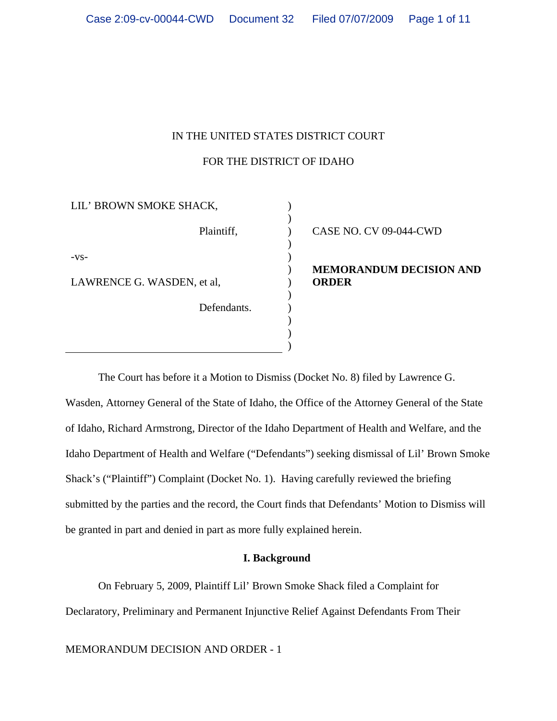# IN THE UNITED STATES DISTRICT COURT

# FOR THE DISTRICT OF IDAHO

| LIL' BROWN SMOKE SHACK,    |  |                           |
|----------------------------|--|---------------------------|
| Plaintiff,                 |  | CASE NO. CV 09-044-CWD    |
| $-VS-$                     |  |                           |
|                            |  | <b>MEMORANDUM DECISIC</b> |
| LAWRENCE G. WASDEN, et al, |  | <b>ORDER</b>              |
|                            |  |                           |
| Defendants.                |  |                           |
|                            |  |                           |
|                            |  |                           |
|                            |  |                           |

**NRANDUM DECISION AND** 

The Court has before it a Motion to Dismiss (Docket No. 8) filed by Lawrence G. Wasden, Attorney General of the State of Idaho, the Office of the Attorney General of the State of Idaho, Richard Armstrong, Director of the Idaho Department of Health and Welfare, and the Idaho Department of Health and Welfare ("Defendants") seeking dismissal of Lil' Brown Smoke Shack's ("Plaintiff") Complaint (Docket No. 1). Having carefully reviewed the briefing submitted by the parties and the record, the Court finds that Defendants' Motion to Dismiss will be granted in part and denied in part as more fully explained herein.

# **I. Background**

On February 5, 2009, Plaintiff Lil' Brown Smoke Shack filed a Complaint for Declaratory, Preliminary and Permanent Injunctive Relief Against Defendants From Their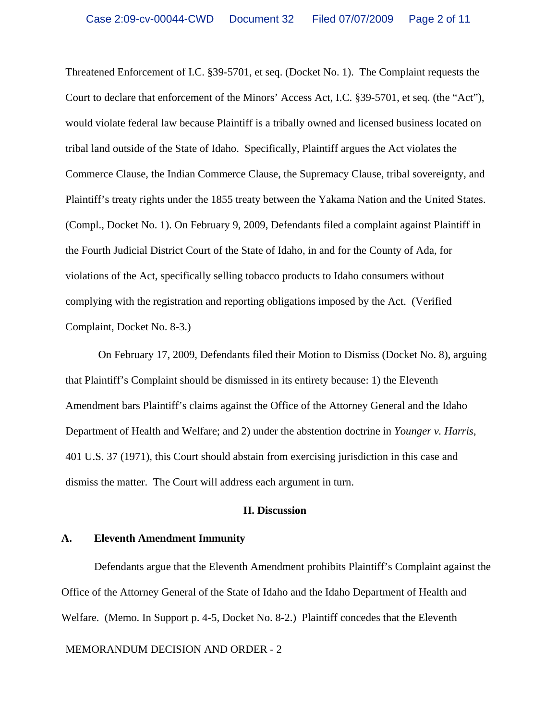Threatened Enforcement of I.C. §39-5701, et seq. (Docket No. 1). The Complaint requests the Court to declare that enforcement of the Minors' Access Act, I.C. §39-5701, et seq. (the "Act"), would violate federal law because Plaintiff is a tribally owned and licensed business located on tribal land outside of the State of Idaho. Specifically, Plaintiff argues the Act violates the Commerce Clause, the Indian Commerce Clause, the Supremacy Clause, tribal sovereignty, and Plaintiff's treaty rights under the 1855 treaty between the Yakama Nation and the United States. (Compl., Docket No. 1). On February 9, 2009, Defendants filed a complaint against Plaintiff in the Fourth Judicial District Court of the State of Idaho, in and for the County of Ada, for violations of the Act, specifically selling tobacco products to Idaho consumers without complying with the registration and reporting obligations imposed by the Act. (Verified Complaint, Docket No. 8-3.)

On February 17, 2009, Defendants filed their Motion to Dismiss (Docket No. 8), arguing that Plaintiff's Complaint should be dismissed in its entirety because: 1) the Eleventh Amendment bars Plaintiff's claims against the Office of the Attorney General and the Idaho Department of Health and Welfare; and 2) under the abstention doctrine in *Younger v. Harris*, 401 U.S. 37 (1971), this Court should abstain from exercising jurisdiction in this case and dismiss the matter. The Court will address each argument in turn.

### **II. Discussion**

### **A. Eleventh Amendment Immunity**

Defendants argue that the Eleventh Amendment prohibits Plaintiff's Complaint against the Office of the Attorney General of the State of Idaho and the Idaho Department of Health and Welfare. (Memo. In Support p. 4-5, Docket No. 8-2.) Plaintiff concedes that the Eleventh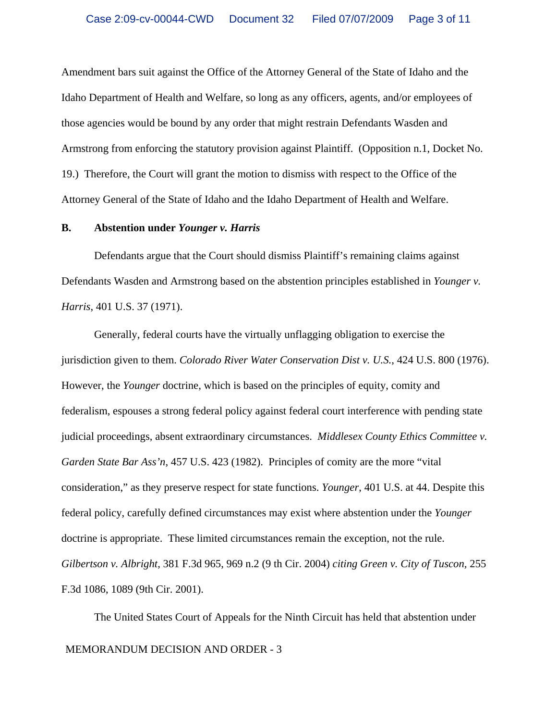Amendment bars suit against the Office of the Attorney General of the State of Idaho and the Idaho Department of Health and Welfare, so long as any officers, agents, and/or employees of those agencies would be bound by any order that might restrain Defendants Wasden and Armstrong from enforcing the statutory provision against Plaintiff. (Opposition n.1, Docket No. 19.) Therefore, the Court will grant the motion to dismiss with respect to the Office of the Attorney General of the State of Idaho and the Idaho Department of Health and Welfare.

### **B. Abstention under** *Younger v. Harris*

Defendants argue that the Court should dismiss Plaintiff's remaining claims against Defendants Wasden and Armstrong based on the abstention principles established in *Younger v. Harris*, 401 U.S. 37 (1971).

Generally, federal courts have the virtually unflagging obligation to exercise the jurisdiction given to them. *Colorado River Water Conservation Dist v. U.S.*, 424 U.S. 800 (1976). However, the *Younger* doctrine, which is based on the principles of equity, comity and federalism, espouses a strong federal policy against federal court interference with pending state judicial proceedings, absent extraordinary circumstances. *Middlesex County Ethics Committee v. Garden State Bar Ass'n*, 457 U.S. 423 (1982). Principles of comity are the more "vital consideration," as they preserve respect for state functions. *Younger*, 401 U.S. at 44. Despite this federal policy, carefully defined circumstances may exist where abstention under the *Younger* doctrine is appropriate. These limited circumstances remain the exception, not the rule. *Gilbertson v. Albright,* 381 F.3d 965, 969 n.2 (9 th Cir. 2004) *citing Green v. City of Tuscon,* 255 F.3d 1086, 1089 (9th Cir. 2001).

MEMORANDUM DECISION AND ORDER - 3 The United States Court of Appeals for the Ninth Circuit has held that abstention under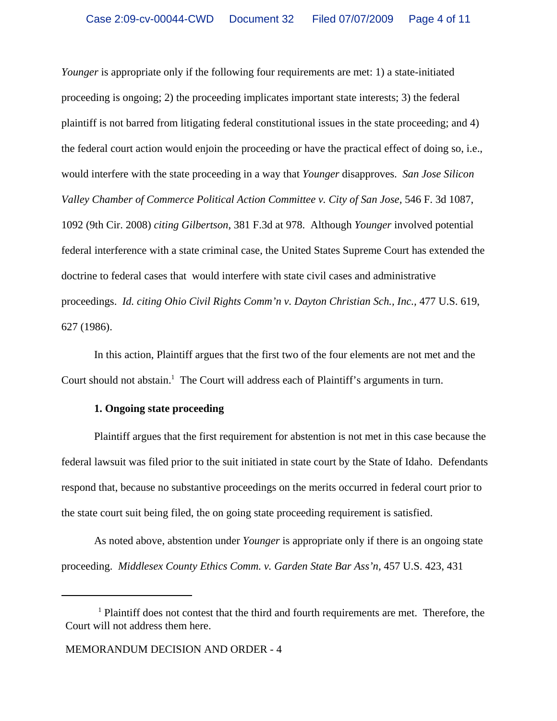*Younger* is appropriate only if the following four requirements are met: 1) a state-initiated proceeding is ongoing; 2) the proceeding implicates important state interests; 3) the federal plaintiff is not barred from litigating federal constitutional issues in the state proceeding; and 4) the federal court action would enjoin the proceeding or have the practical effect of doing so, i.e., would interfere with the state proceeding in a way that *Younger* disapproves. *San Jose Silicon Valley Chamber of Commerce Political Action Committee v. City of San Jose,* 546 F. 3d 1087, 1092 (9th Cir. 2008) *citing Gilbertson*, 381 F.3d at 978. Although *Younger* involved potential federal interference with a state criminal case, the United States Supreme Court has extended the doctrine to federal cases that would interfere with state civil cases and administrative proceedings. *Id. citing Ohio Civil Rights Comm'n v. Dayton Christian Sch., Inc., 477 U.S. 619,* 627 (1986).

In this action, Plaintiff argues that the first two of the four elements are not met and the Court should not abstain.<sup>1</sup> The Court will address each of Plaintiff's arguments in turn.

### **1. Ongoing state proceeding**

Plaintiff argues that the first requirement for abstention is not met in this case because the federal lawsuit was filed prior to the suit initiated in state court by the State of Idaho. Defendants respond that, because no substantive proceedings on the merits occurred in federal court prior to the state court suit being filed, the on going state proceeding requirement is satisfied.

As noted above, abstention under *Younger* is appropriate only if there is an ongoing state proceeding. *Middlesex County Ethics Comm. v. Garden State Bar Ass'n,* 457 U.S. 423, 431

<sup>&</sup>lt;sup>1</sup> Plaintiff does not contest that the third and fourth requirements are met. Therefore, the Court will not address them here.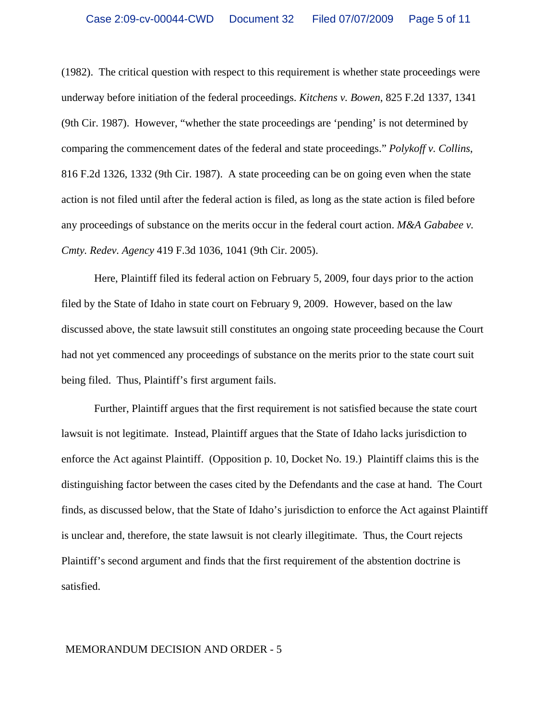(1982). The critical question with respect to this requirement is whether state proceedings were underway before initiation of the federal proceedings. *Kitchens v. Bowen*, 825 F.2d 1337, 1341 (9th Cir. 1987). However, "whether the state proceedings are 'pending' is not determined by comparing the commencement dates of the federal and state proceedings." *Polykoff v. Collins*, 816 F.2d 1326, 1332 (9th Cir. 1987). A state proceeding can be on going even when the state action is not filed until after the federal action is filed, as long as the state action is filed before any proceedings of substance on the merits occur in the federal court action. *M&A Gababee v. Cmty. Redev. Agency* 419 F.3d 1036, 1041 (9th Cir. 2005).

Here, Plaintiff filed its federal action on February 5, 2009, four days prior to the action filed by the State of Idaho in state court on February 9, 2009. However, based on the law discussed above, the state lawsuit still constitutes an ongoing state proceeding because the Court had not yet commenced any proceedings of substance on the merits prior to the state court suit being filed. Thus, Plaintiff's first argument fails.

Further, Plaintiff argues that the first requirement is not satisfied because the state court lawsuit is not legitimate. Instead, Plaintiff argues that the State of Idaho lacks jurisdiction to enforce the Act against Plaintiff. (Opposition p. 10, Docket No. 19.) Plaintiff claims this is the distinguishing factor between the cases cited by the Defendants and the case at hand. The Court finds, as discussed below, that the State of Idaho's jurisdiction to enforce the Act against Plaintiff is unclear and, therefore, the state lawsuit is not clearly illegitimate. Thus, the Court rejects Plaintiff's second argument and finds that the first requirement of the abstention doctrine is satisfied.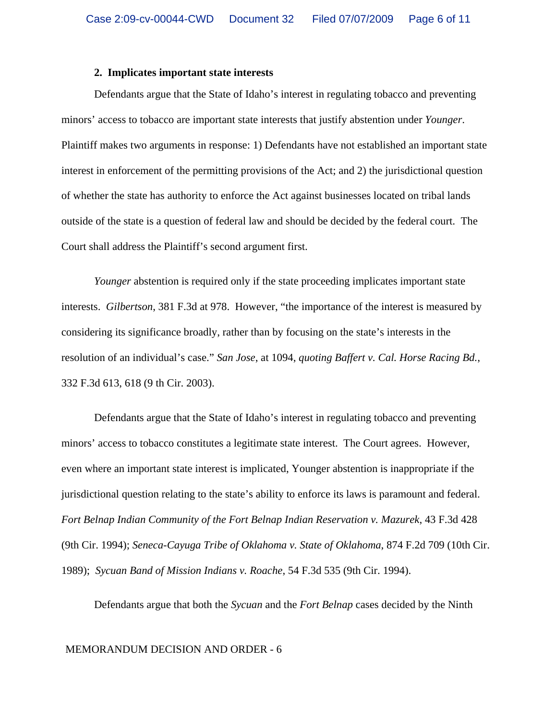### **2. Implicates important state interests**

Defendants argue that the State of Idaho's interest in regulating tobacco and preventing minors' access to tobacco are important state interests that justify abstention under *Younger*. Plaintiff makes two arguments in response: 1) Defendants have not established an important state interest in enforcement of the permitting provisions of the Act; and 2) the jurisdictional question of whether the state has authority to enforce the Act against businesses located on tribal lands outside of the state is a question of federal law and should be decided by the federal court. The Court shall address the Plaintiff's second argument first.

*Younger* abstention is required only if the state proceeding implicates important state interests. *Gilbertson*, 381 F.3d at 978. However, "the importance of the interest is measured by considering its significance broadly, rather than by focusing on the state's interests in the resolution of an individual's case." *San Jose*, at 1094, *quoting Baffert v. Cal. Horse Racing Bd.*, 332 F.3d 613, 618 (9 th Cir. 2003).

Defendants argue that the State of Idaho's interest in regulating tobacco and preventing minors' access to tobacco constitutes a legitimate state interest. The Court agrees. However, even where an important state interest is implicated, Younger abstention is inappropriate if the jurisdictional question relating to the state's ability to enforce its laws is paramount and federal. *Fort Belnap Indian Community of the Fort Belnap Indian Reservation v. Mazurek*, 43 F.3d 428 (9th Cir. 1994); *Seneca-Cayuga Tribe of Oklahoma v. State of Oklahoma*, 874 F.2d 709 (10th Cir. 1989); *Sycuan Band of Mission Indians v. Roache*, 54 F.3d 535 (9th Cir. 1994).

Defendants argue that both the *Sycuan* and the *Fort Belnap* cases decided by the Ninth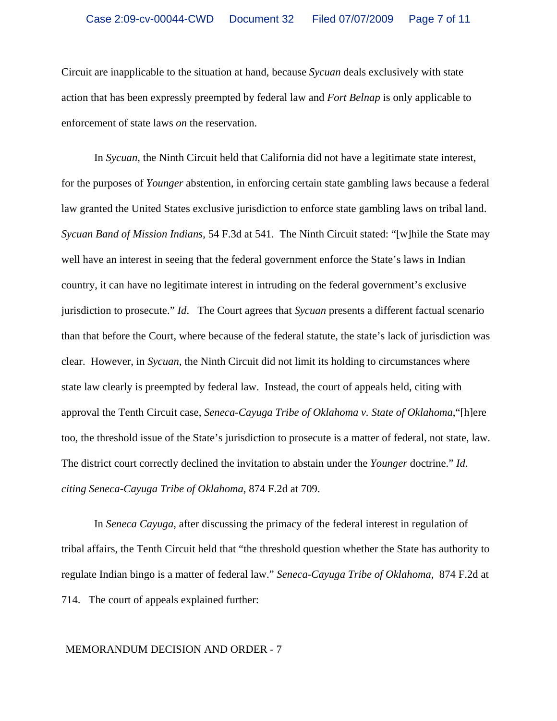Circuit are inapplicable to the situation at hand, because *Sycuan* deals exclusively with state action that has been expressly preempted by federal law and *Fort Belnap* is only applicable to enforcement of state laws *on* the reservation.

In *Sycuan*, the Ninth Circuit held that California did not have a legitimate state interest, for the purposes of *Younger* abstention, in enforcing certain state gambling laws because a federal law granted the United States exclusive jurisdiction to enforce state gambling laws on tribal land. *Sycuan Band of Mission Indians*, 54 F.3d at 541. The Ninth Circuit stated: "[w]hile the State may well have an interest in seeing that the federal government enforce the State's laws in Indian country, it can have no legitimate interest in intruding on the federal government's exclusive jurisdiction to prosecute." *Id*. The Court agrees that *Sycuan* presents a different factual scenario than that before the Court, where because of the federal statute, the state's lack of jurisdiction was clear. However, in *Sycuan,* the Ninth Circuit did not limit its holding to circumstances where state law clearly is preempted by federal law. Instead, the court of appeals held, citing with approval the Tenth Circuit case, *Seneca-Cayuga Tribe of Oklahoma v. State of Oklahoma*,"[h]ere too, the threshold issue of the State's jurisdiction to prosecute is a matter of federal, not state, law. The district court correctly declined the invitation to abstain under the *Younger* doctrine." *Id. citing Seneca-Cayuga Tribe of Oklahoma,* 874 F.2d at 709.

In *Seneca Cayuga*, after discussing the primacy of the federal interest in regulation of tribal affairs, the Tenth Circuit held that "the threshold question whether the State has authority to regulate Indian bingo is a matter of federal law." *Seneca-Cayuga Tribe of Oklahoma,* 874 F.2d at 714. The court of appeals explained further: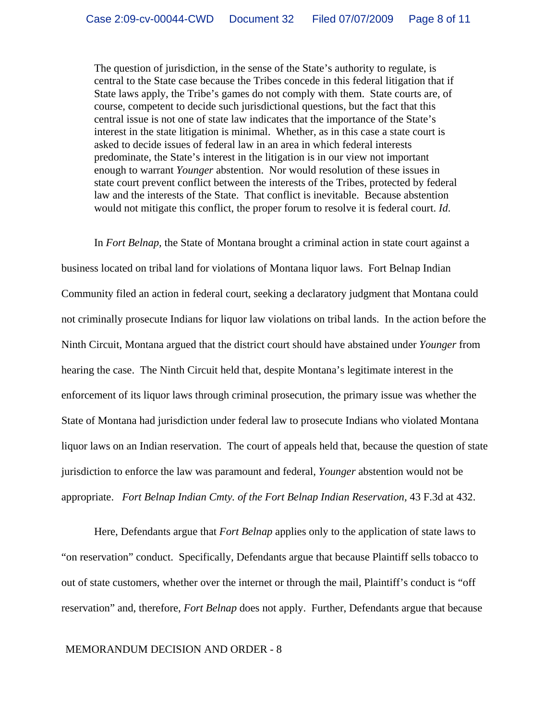The question of jurisdiction, in the sense of the State's authority to regulate, is central to the State case because the Tribes concede in this federal litigation that if State laws apply, the Tribe's games do not comply with them. State courts are, of course, competent to decide such jurisdictional questions, but the fact that this central issue is not one of state law indicates that the importance of the State's interest in the state litigation is minimal. Whether, as in this case a state court is asked to decide issues of federal law in an area in which federal interests predominate, the State's interest in the litigation is in our view not important enough to warrant *Younger* abstention. Nor would resolution of these issues in state court prevent conflict between the interests of the Tribes, protected by federal law and the interests of the State. That conflict is inevitable. Because abstention would not mitigate this conflict, the proper forum to resolve it is federal court. *Id*.

In *Fort Belnap,* the State of Montana brought a criminal action in state court against a business located on tribal land for violations of Montana liquor laws. Fort Belnap Indian Community filed an action in federal court, seeking a declaratory judgment that Montana could not criminally prosecute Indians for liquor law violations on tribal lands. In the action before the Ninth Circuit, Montana argued that the district court should have abstained under *Younger* from hearing the case. The Ninth Circuit held that, despite Montana's legitimate interest in the enforcement of its liquor laws through criminal prosecution, the primary issue was whether the State of Montana had jurisdiction under federal law to prosecute Indians who violated Montana liquor laws on an Indian reservation. The court of appeals held that, because the question of state jurisdiction to enforce the law was paramount and federal, *Younger* abstention would not be appropriate. *Fort Belnap Indian Cmty. of the Fort Belnap Indian Reservation,* 43 F.3d at 432.

Here, Defendants argue that *Fort Belnap* applies only to the application of state laws to "on reservation" conduct. Specifically, Defendants argue that because Plaintiff sells tobacco to out of state customers, whether over the internet or through the mail, Plaintiff's conduct is "off reservation" and, therefore, *Fort Belnap* does not apply. Further, Defendants argue that because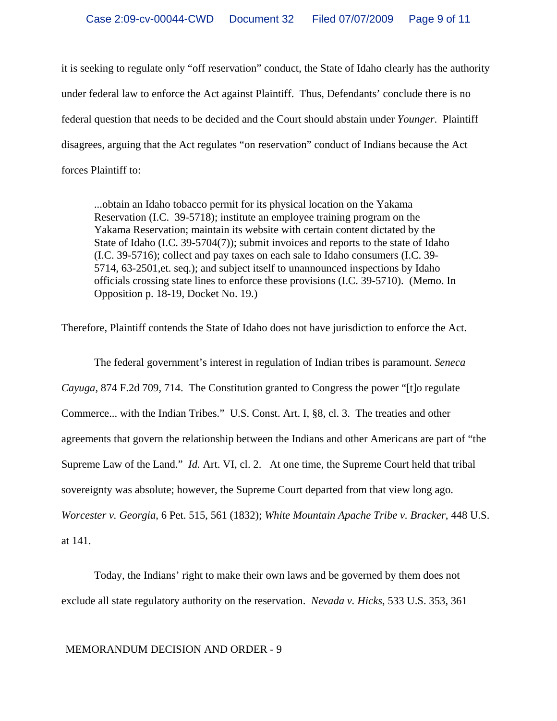it is seeking to regulate only "off reservation" conduct, the State of Idaho clearly has the authority under federal law to enforce the Act against Plaintiff. Thus, Defendants' conclude there is no federal question that needs to be decided and the Court should abstain under *Younger*. Plaintiff disagrees, arguing that the Act regulates "on reservation" conduct of Indians because the Act forces Plaintiff to:

...obtain an Idaho tobacco permit for its physical location on the Yakama Reservation (I.C. 39-5718); institute an employee training program on the Yakama Reservation; maintain its website with certain content dictated by the State of Idaho (I.C. 39-5704(7)); submit invoices and reports to the state of Idaho (I.C. 39-5716); collect and pay taxes on each sale to Idaho consumers (I.C. 39- 5714, 63-2501,et. seq.); and subject itself to unannounced inspections by Idaho officials crossing state lines to enforce these provisions (I.C. 39-5710). (Memo. In Opposition p. 18-19, Docket No. 19.)

Therefore, Plaintiff contends the State of Idaho does not have jurisdiction to enforce the Act.

The federal government's interest in regulation of Indian tribes is paramount. *Seneca Cayuga*, 874 F.2d 709, 714. The Constitution granted to Congress the power "[t]o regulate Commerce... with the Indian Tribes." U.S. Const. Art. I, §8, cl. 3. The treaties and other agreements that govern the relationship between the Indians and other Americans are part of "the Supreme Law of the Land." *Id.* Art. VI, cl. 2. At one time, the Supreme Court held that tribal sovereignty was absolute; however, the Supreme Court departed from that view long ago. *Worcester v. Georgia*, 6 Pet. 515, 561 (1832); *White Mountain Apache Tribe v. Bracker*, 448 U.S. at 141.

Today, the Indians' right to make their own laws and be governed by them does not exclude all state regulatory authority on the reservation. *Nevada v. Hicks*, 533 U.S. 353, 361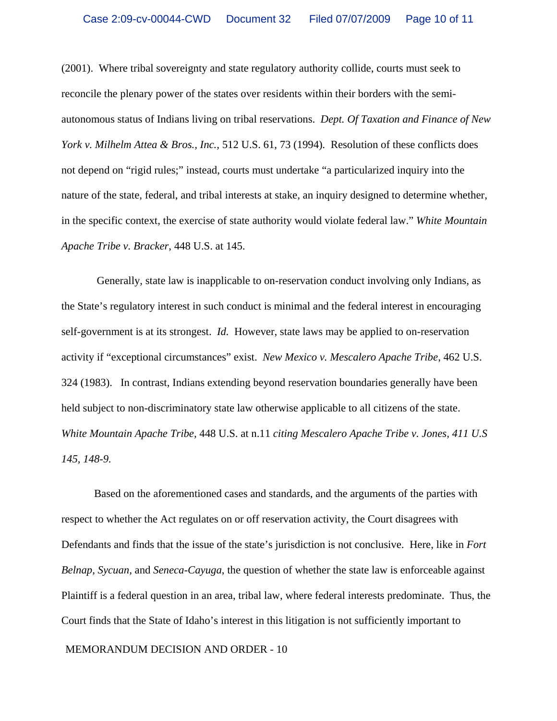(2001). Where tribal sovereignty and state regulatory authority collide, courts must seek to reconcile the plenary power of the states over residents within their borders with the semiautonomous status of Indians living on tribal reservations. *Dept. Of Taxation and Finance of New York v. Milhelm Attea & Bros., Inc.,* 512 U.S. 61, 73 (1994)*.* Resolution of these conflicts does not depend on "rigid rules;" instead, courts must undertake "a particularized inquiry into the nature of the state, federal, and tribal interests at stake, an inquiry designed to determine whether, in the specific context, the exercise of state authority would violate federal law." *White Mountain Apache Tribe v. Bracker*, 448 U.S. at 145.

 Generally, state law is inapplicable to on-reservation conduct involving only Indians, as the State's regulatory interest in such conduct is minimal and the federal interest in encouraging self-government is at its strongest. *Id.* However, state laws may be applied to on-reservation activity if "exceptional circumstances" exist. *New Mexico v. Mescalero Apache Tribe*, 462 U.S. 324 (1983). In contrast, Indians extending beyond reservation boundaries generally have been held subject to non-discriminatory state law otherwise applicable to all citizens of the state. *White Mountain Apache Tribe,* 448 U.S. at n.11 *citing Mescalero Apache Tribe v. Jones, 411 U.S 145, 148-9.*

Based on the aforementioned cases and standards, and the arguments of the parties with respect to whether the Act regulates on or off reservation activity, the Court disagrees with Defendants and finds that the issue of the state's jurisdiction is not conclusive. Here, like in *Fort Belnap*, *Sycuan,* and *Seneca-Cayuga*, the question of whether the state law is enforceable against Plaintiff is a federal question in an area, tribal law, where federal interests predominate. Thus, the Court finds that the State of Idaho's interest in this litigation is not sufficiently important to